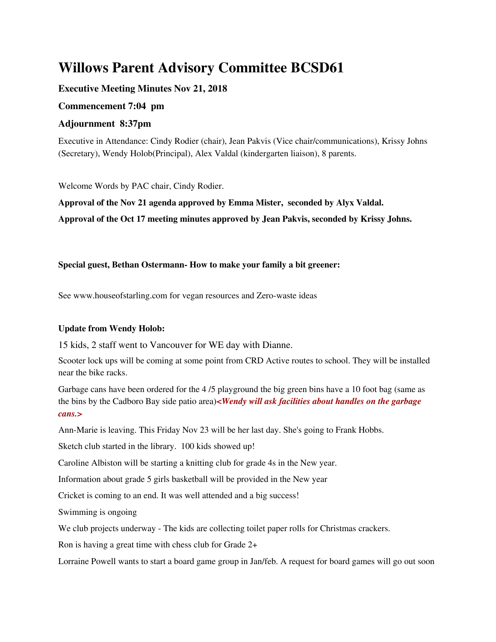# **Willows Parent Advisory Committee BCSD61**

# **Executive Meeting Minutes Nov 21, 2018**

## **Commencement 7:04 pm**

## **Adjournment 8:37pm**

Executive in Attendance: Cindy Rodier (chair), Jean Pakvis (Vice chair/communications), Krissy Johns (Secretary), Wendy Holob(Principal), Alex Valdal (kindergarten liaison), 8 parents.

Welcome Words by PAC chair, Cindy Rodier.

**Approval of the Nov 21 agenda approved by Emma Mister, seconded by Alyx Valdal. Approval of the Oct 17 meeting minutes approved by Jean Pakvis, seconded by Krissy Johns.**

## **Special guest, Bethan Ostermann- How to make your family a bit greener:**

See www.houseofstarling.com for vegan resources and Zero-waste ideas

## **Update from Wendy Holob:**

15 kids, 2 staff went to Vancouver for WE day with Dianne.

Scooter lock ups will be coming at some point from CRD Active routes to school. They will be installed near the bike racks.

Garbage cans have been ordered for the 4 /5 playground the big green bins have a 10 foot bag (same as the bins by the Cadboro Bay side patio area)*<Wendy will ask facilities about handles on the garbage cans.>*

Ann-Marie is leaving. This Friday Nov 23 will be her last day. She's going to Frank Hobbs.

Sketch club started in the library. 100 kids showed up!

Caroline Albiston will be starting a knitting club for grade 4s in the New year.

Information about grade 5 girls basketball will be provided in the New year

Cricket is coming to an end. It was well attended and a big success!

Swimming is ongoing

We club projects underway - The kids are collecting toilet paper rolls for Christmas crackers.

Ron is having a great time with chess club for Grade 2+

Lorraine Powell wants to start a board game group in Jan/feb. A request for board games will go out soon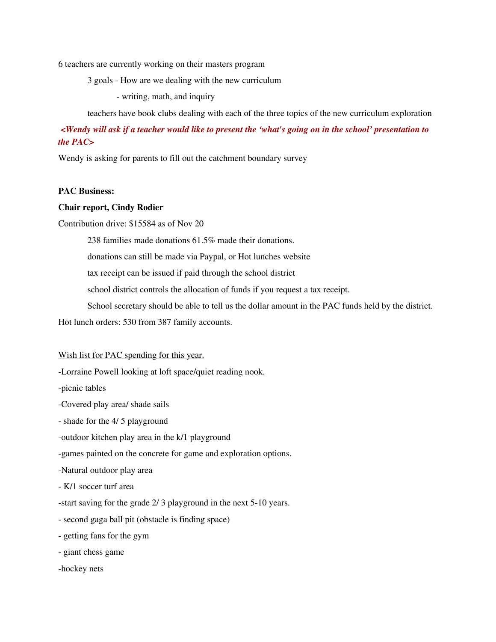6 teachers are currently working on their masters program

3 goals - How are we dealing with the new curriculum

- writing, math, and inquiry

teachers have book clubs dealing with each of the three topics of the new curriculum exploration

<Wendy will ask if a teacher would like to present the 'what's going on in the school' presentation to *the PAC>*

Wendy is asking for parents to fill out the catchment boundary survey

#### **PAC Business:**

#### **Chair report, Cindy Rodier**

Contribution drive: \$15584 as of Nov 20

238 families made donations 61.5% made their donations.

donations can still be made via Paypal, or Hot lunches website

tax receipt can be issued if paid through the school district

school district controls the allocation of funds if you request a tax receipt.

School secretary should be able to tell us the dollar amount in the PAC funds held by the district.

Hot lunch orders: 530 from 387 family accounts.

#### Wish list for PAC spending for this year.

-Lorraine Powell looking at loft space/quiet reading nook.

-picnic tables

-Covered play area/ shade sails

- shade for the 4/ 5 playground

-outdoor kitchen play area in the k/1 playground

-games painted on the concrete for game and exploration options.

-Natural outdoor play area

- K/1 soccer turf area

-start saving for the grade 2/ 3 playground in the next 5-10 years.

- second gaga ball pit (obstacle is finding space)

- getting fans for the gym

- giant chess game

-hockey nets